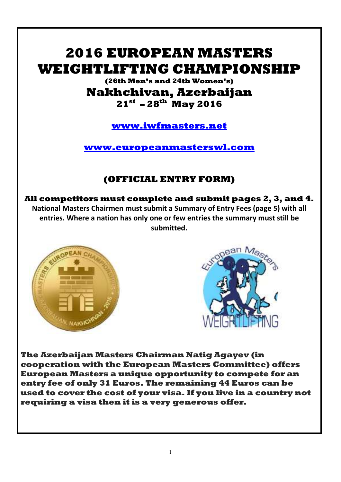# **2016 EUROPEAN MASTERS WEIGHTLIFTING CHAMPIONSHIP**

## **(26th Men's and 24th Women's) Nakhchivan, Azerbaijan 21st – 28th May 2016**

**www.iwfmasters.net**

**www.europeanmasterswl.com**

## **(OFFICIAL ENTRY FORM)**

**All competitors must complete and submit pages 2, 3, and 4. National Masters Chairmen must submit a Summary of Entry Fees (page 5) with all entries. Where a nation has only one or few entries the summary must still be submitted.** 





**The Azerbaijan Masters Chairman Natig Agayev (in cooperation with the European Masters Committee) offers European Masters a unique opportunity to compete for an entry fee of only 31 Euros. The remaining 44 Euros can be used to cover the cost of your visa. If you live in a country not requiring a visa then it is a very generous offer.**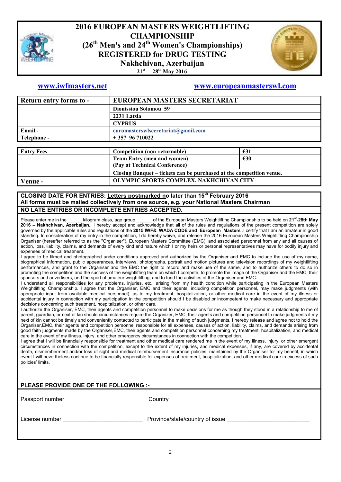

## **2016 EUROPEAN MASTERS WEIGHTLIFTING CHAMPIONSHIP (26th Men's and 24th Women's Championships) REGISTERED for DRUG TESTING Nakhchivan, Azerbaijan 21st – 28th May 2016**



## **www.iwfmasters.net www.europeanmasterswl.com**

| Return entry forms to - | EUROPEAN MASTERS SECRETARIAT       |
|-------------------------|------------------------------------|
|                         | Dionissiou Solomou 59              |
|                         | 2231 Latsia                        |
|                         | <b>CYPRUS</b>                      |
| Email-                  | euromasterswlsecretariat@gmail.com |
| Telephone -             | $+357$ 96 710022                   |
|                         |                                    |

| <b>Entry Fees -</b> | Competition (non-returnable)                                         | €31           |
|---------------------|----------------------------------------------------------------------|---------------|
|                     | <b>Team Entry (men and women)</b><br>(Pay at Technical Conference)   | $\epsilon$ 30 |
|                     | Closing Banquet – tickets can be purchased at the competition venue. |               |
| Venue -             | OLYMPIC SPORTS COMPLEX, NAKHCHIVAN CITY                              |               |

#### **CLOSING DATE FOR ENTRIES: Letters postmarked no later than 15th February 2016 All forms must be mailed collectively from one source, e.g. your National Masters Chairman NO LATE ENTRIES OR INCOMPLETE ENTRIES ACCEPTED.**

Please enter me in the\_\_\_\_\_\_ kilogram class, age group \_\_\_\_\_\_ of the European Masters Weightlifting Championship to be held on **21st-28th May 2016 – Nakhchivan, Azerbaijan.**. I hereby accept and acknowledge that all of the rules and regulations of the present competition are solely governed by the applicable rules and regulations of the **2015 IWF& WADA CODE and European Masters** .I certify that I am an amateur in good standing. In consideration of my entry in the competition, I do hereby waive, and release the 2016 European Masters Weightlifting Championship Organiser (hereafter referred to as the "Organiser"), European Masters Committee (EMC), and associated personnel from any and all causes of action, loss, liability, claims, and demands of every kind and nature which I or my heirs or personal representatives may have for bodily injury and expenses of medical treatment.

I agree to be filmed and photographed under conditions approved and authorized by the Organiser and EMC to include the use of my name, biographical information, public appearances, interviews, photographs, portrait and motion pictures and television recordings of my weightlifting performances, and grant to the Organiser and the EMC the right to record and make use of the same, and to authorize others to do so in promoting the competition and the success of the weightlifting team on which I compete, to promote the image of the Organiser and the EMC, their sponsors and advertisers, and the sport of amateur weightlifting, and to fund the activities of the Organiser and EMC.

I understand all responsibilities for any problems, injuries, etc., arising from my health condition while participating in the European Masters Weightlifting Championship. I agree that the Organiser, EMC and their agents, including competition personnel, may make judgments (with appropriate input from available medical personnel), as to my treatment, hospitalization, or other medical care in the event of my illness or accidental injury in connection with my participation in the competition should I be disabled or incompetent to make necessary and appropriate decisions concerning such treatment, hospitalization, or other care.

I authorize the Organiser, EMC, their agents and competition personnel to make decisions for me as though they stood in a relationship to me of parent, guardian, or next of kin should circumstances require the Organizer, EMC, their agents and competition personnel to make judgments if my next of kin cannot be timely and conveniently contacted to participate in the making of such judgments. I hereby release and agree not to hold the Organiser,EMC, their agents and competition personnel responsible for all expenses, causes of action, liability, claims, and demands arising from good faith judgments made by the Organiser,EMC, their agents and competition personnel concerning my treatment, hospitalization, and medical care in the event of my illness, injury, and other emergency circumstances in connection with the competition.

I agree that I will be financially responsible for treatment and other medical care rendered me in the event of my illness, injury, or other emergent circumstances in connection with the competition, except to the extent of my injuries, and medical expenses, if any, are covered by accidental death, dismemberment and/or loss of sight and medical reimbursement insurance policies, maintained by the Organiser for my benefit, in which event I will nevertheless continue to be financially responsible for expenses of treatment, hospitalization, and other medical care in excess of such policies' limits.

| PLEASE PROVIDE ONE OF THE FOLLOWING :- |                                                                                                                                                                                                                                                 |  |  |  |  |  |  |
|----------------------------------------|-------------------------------------------------------------------------------------------------------------------------------------------------------------------------------------------------------------------------------------------------|--|--|--|--|--|--|
|                                        | Country<br><u> 1989 - Johann John Stein, mars et al. 1989 - John Stein, mars et al. 1989 - John Stein, mars et al. 1989 - John Stein, mars et al. 1989 - John Stein, mars et al. 1989 - John Stein, mars et al. 1989 - John Stein, mars et </u> |  |  |  |  |  |  |
| License number                         | Province/state/country of issue                                                                                                                                                                                                                 |  |  |  |  |  |  |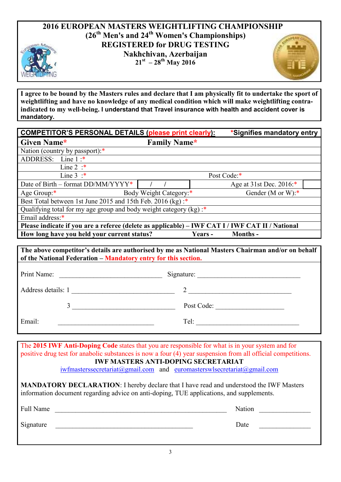## **2016 EUROPEAN MASTERS WEIGHTLIFTING CHAMPIONSHIP (26th Men's and 24th Women's Championships) REGISTERED for DRUG TESTING Nakhchivan, Azerbaijan 21st – 28th May 2016**

**I agree to be bound by the Masters rules and declare that I am physically fit to undertake the sport of weightlifting and have no knowledge of any medical condition which will make weightlifting contraindicated to my well-being. I understand that Travel insurance with health and accident cover is mandatory.**

| <b>COMPETITOR'S PERSONAL DETAILS (please print clearly):</b>                                      |                        | *Signifies mandatory entry |                         |  |  |  |  |  |
|---------------------------------------------------------------------------------------------------|------------------------|----------------------------|-------------------------|--|--|--|--|--|
| Given Name*<br><b>Family Name*</b>                                                                |                        |                            |                         |  |  |  |  |  |
| Nation (country by passport):*                                                                    |                        |                            |                         |  |  |  |  |  |
| ADDRESS: Line 1 :*                                                                                |                        |                            |                         |  |  |  |  |  |
| Line $2 :^*$                                                                                      |                        |                            |                         |  |  |  |  |  |
| Line $3$ :*                                                                                       |                        | Post Code:*                |                         |  |  |  |  |  |
| Date of Birth – format DD/MM/YYYY*                                                                |                        |                            | Age at 31st Dec. 2016:* |  |  |  |  |  |
| Age Group:*                                                                                       | Body Weight Category:* |                            | Gender (M or W): $*$    |  |  |  |  |  |
| Best Total between 1st June 2015 and 15th Feb. 2016 (kg):*                                        |                        |                            |                         |  |  |  |  |  |
| Qualifying total for my age group and body weight category $(kg)$ .*                              |                        |                            |                         |  |  |  |  |  |
| Email address:*                                                                                   |                        |                            |                         |  |  |  |  |  |
| Please indicate if you are a referee (delete as applicable) - IWF CAT I / IWF CAT II / National   |                        |                            |                         |  |  |  |  |  |
| How long have you held your current status?<br><b>Months-</b><br>Years -                          |                        |                            |                         |  |  |  |  |  |
|                                                                                                   |                        |                            |                         |  |  |  |  |  |
| The above competitor's details are authorised by me as National Masters Chairman and/or on behalf |                        |                            |                         |  |  |  |  |  |

| THE ADOVE COMPETION 8 GETAIN ARE AUTHORISED BY THE AS INAUGHAR MASTER'S CHAIRTHAN AND/OF ON DENAIT<br>of the National Federation – Mandatory entry for this section. |                            |  |  |  |  |  |  |
|----------------------------------------------------------------------------------------------------------------------------------------------------------------------|----------------------------|--|--|--|--|--|--|
|                                                                                                                                                                      | Signature:                 |  |  |  |  |  |  |
| Address details: 1                                                                                                                                                   | 2 $\overline{\phantom{a}}$ |  |  |  |  |  |  |
|                                                                                                                                                                      | Post Code:                 |  |  |  |  |  |  |
| Email:                                                                                                                                                               |                            |  |  |  |  |  |  |

The **2015 IWF Anti-Doping Code** states that you are responsible for what is in your system and for positive drug test for anabolic substances is now a four (4) year suspension from all official competitions. **IWF MASTERS ANTI-DOPING SECRETARIAT**  iwfmasterssecretariat@gmail.com and euromasterswlsecretariat@gmail.com **MANDATORY DECLARATION**: I hereby declare that I have read and understood the IWF Masters information document regarding advice on anti-doping, TUE applications, and supplements. Full Name \_\_\_\_\_\_\_\_\_\_\_\_\_\_\_\_\_\_\_\_\_\_\_\_\_\_\_\_\_\_\_\_\_\_\_\_\_\_\_\_\_\_\_\_\_\_\_\_\_\_ Nation \_\_\_\_\_\_\_\_\_\_\_\_\_\_\_ Signature \_\_\_\_\_\_\_\_\_\_\_\_\_\_\_\_\_\_\_\_\_\_\_\_\_\_\_\_\_\_\_\_\_\_\_\_\_\_\_\_ Date \_\_\_\_\_\_\_\_\_\_\_\_\_\_\_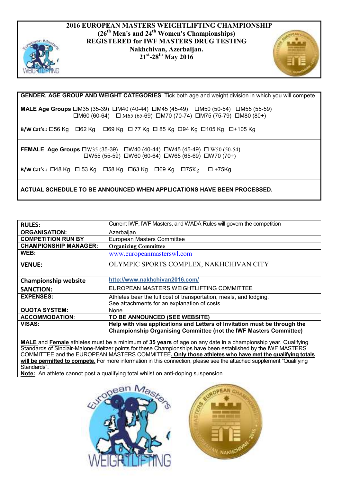

#### **2016 EUROPEAN MASTERS WEIGHTLIFTING CHAMPIONSHIP (26th Men's and 24th Women's Championships) REGISTERED for IWF MASTERS DRUG TESTING Nakhchivan, Azerbaijan. 21st-28th May 2016**



## **GENDER, AGE GROUP AND WEIGHT CATEGORIES**: Tick both age and weight division in which you will compete

**MALE Age Groups** □M35 (35-39) □M40 (40-44) □M45 (45-49) □M50 (50-54) □M55 (55-59)  $\Box$ M60 (60-64)  $\Box$  M65 (65-69)  $\Box$ M70 (70-74)  $\Box$ M75 (75-79)  $\Box$ M80 (80+)

**B/W Cat's.: 056 Kg 62 Kg 68 Kg 62 Kg 62 Kg 625 Kg 694 Kg 694 Kg 695 Kg 694 Kg 695 Kg** 

**FEMALE Age Groups** W35 (35-39) W40 (40-44) W45 (45-49) W50 (50-54)  $\Box$ W55 (55-59)  $\Box$ W60 (60-64)  $\Box$ W65 (65-69)  $\Box$ W70 (70+)

**B/W Cat's.:**  $\Box$ 48 Kg  $\Box$  53 Kg  $\Box$  58 Kg  $\Box$  63 Kg  $\Box$  69 Kg  $\Box$  75 Kg  $\Box$  +75 Kg

**ACTUAL SCHEDULE TO BE ANNOUNCED WHEN APPLICATIONS HAVE BEEN PROCESSED.**

| <b>RULES:</b>                | Current IWF, IWF Masters, and WADA Rules will govern the competition                                                                                  |
|------------------------------|-------------------------------------------------------------------------------------------------------------------------------------------------------|
| <b>ORGANISATION:</b>         | Azerbaijan                                                                                                                                            |
| <b>COMPETITION RUN BY</b>    | European Masters Committee                                                                                                                            |
| <b>CHAMPIONSHIP MANAGER:</b> | <b>Organizing Committee</b>                                                                                                                           |
| WEB:                         | www.europeanmasterswl.com                                                                                                                             |
| <b>VENUE:</b>                | OLYMPIC SPORTS COMPLEX, NAKHCHIVAN CITY                                                                                                               |
| <b>Championship website</b>  | http://www.nakhchivan2016.com/                                                                                                                        |
| <b>SANCTION:</b>             | EUROPEAN MASTERS WEIGHTLIFTING COMMITTEE                                                                                                              |
| <b>EXPENSES:</b>             | Athletes bear the full cost of transportation, meals, and lodging.<br>See attachments for an explanation of costs                                     |
| <b>QUOTA SYSTEM:</b>         | None.                                                                                                                                                 |
| <b>ACCOMMODATION:</b>        | TO BE ANNOUNCED (SEE WEBSITE)                                                                                                                         |
| <b>VISAS:</b>                | Help with visa applications and Letters of Invitation must be through the<br><b>Championship Organising Committee (not the IWF Masters Committee)</b> |

**MALE** and **Female** athletes must be a minimum of **35 years** of age on any date in a championship year. Qualifying Standards of Sinclair-Malone-Meltzer points for these Championships have been established by the IWF MASTERS COMMITTEE and the EUROPEAN MASTERS COMMITTEE**. Only those athletes who have met the qualifying totals will be permitted to compete.** For more information in this connection, please see the attached supplement "Qualifying Standards".

**Note:** An athlete cannot post a qualifying total whilst on anti-doping suspension



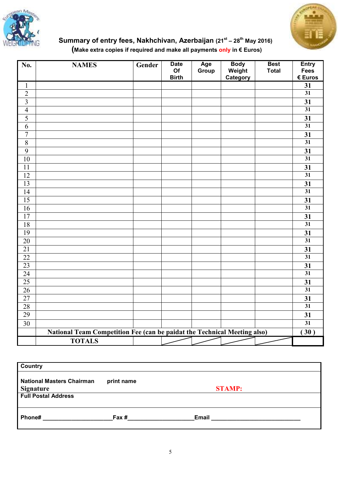



## **Summary of entry fees, Nakhchivan, Azerbaijan (21st – 28th May 2016) (Make extra copies if required and make all payments only in € Euros)**

| No.                     | <b>NAMES</b>                                                             | Gender | <b>Date</b><br>Of | Age<br>Group | <b>Body</b><br>Weight | <b>Best</b><br><b>Total</b> | <b>Entry</b><br>Fees |
|-------------------------|--------------------------------------------------------------------------|--------|-------------------|--------------|-----------------------|-----------------------------|----------------------|
|                         |                                                                          |        | <b>Birth</b>      |              | Category              |                             | € Euros              |
| $\mathbf{1}$            |                                                                          |        |                   |              |                       |                             | 31                   |
| $\overline{2}$          |                                                                          |        |                   |              |                       |                             | $\overline{31}$      |
| $\overline{\mathbf{3}}$ |                                                                          |        |                   |              |                       |                             | 31                   |
| $\overline{4}$          |                                                                          |        |                   |              |                       |                             | $\overline{31}$      |
| $\overline{5}$          |                                                                          |        |                   |              |                       |                             | 31                   |
| $\overline{6}$          |                                                                          |        |                   |              |                       |                             | $\overline{31}$      |
| $\overline{7}$          |                                                                          |        |                   |              |                       |                             | 31                   |
| $\overline{8}$          |                                                                          |        |                   |              |                       |                             | $\overline{31}$      |
| $\overline{9}$          |                                                                          |        |                   |              |                       |                             | 31                   |
| 10                      |                                                                          |        |                   |              |                       |                             | $\overline{31}$      |
| 11                      |                                                                          |        |                   |              |                       |                             | 31                   |
| $\overline{12}$         |                                                                          |        |                   |              |                       |                             | $\overline{31}$      |
| $\overline{13}$         |                                                                          |        |                   |              |                       |                             | 31                   |
| 14                      |                                                                          |        |                   |              |                       |                             | $\overline{31}$      |
| $\overline{15}$         |                                                                          |        |                   |              |                       |                             | 31                   |
| $\overline{16}$         |                                                                          |        |                   |              |                       |                             | $\overline{31}$      |
| $\overline{17}$         |                                                                          |        |                   |              |                       |                             | 31                   |
| 18                      |                                                                          |        |                   |              |                       |                             | $\overline{31}$      |
| 19                      |                                                                          |        |                   |              |                       |                             | 31                   |
| $\overline{20}$         |                                                                          |        |                   |              |                       |                             | $\overline{31}$      |
| $\overline{21}$         |                                                                          |        |                   |              |                       |                             | 31                   |
| $\overline{22}$         |                                                                          |        |                   |              |                       |                             | $\overline{31}$      |
| 23                      |                                                                          |        |                   |              |                       |                             | 31                   |
| $\overline{24}$         |                                                                          |        |                   |              |                       |                             | $\overline{31}$      |
| $\overline{25}$         |                                                                          |        |                   |              |                       |                             | 31                   |
| $\overline{26}$         |                                                                          |        |                   |              |                       |                             | $\overline{31}$      |
| $\overline{27}$         |                                                                          |        |                   |              |                       |                             | 31                   |
| 28                      |                                                                          |        |                   |              |                       |                             | 31                   |
| 29                      |                                                                          |        |                   |              |                       |                             | 31                   |
| $\overline{30}$         |                                                                          |        |                   |              |                       |                             | $\overline{31}$      |
|                         | National Team Competition Fee (can be paidat the Technical Meeting also) |        |                   |              |                       |                             | 30)                  |
|                         | <b>TOTALS</b>                                                            |        |                   |              |                       |                             |                      |

| Country                                              |            |               |
|------------------------------------------------------|------------|---------------|
| <b>National Masters Chairman</b><br><b>Signature</b> | print name | <b>STAMP:</b> |
| <b>Full Postal Address</b>                           |            |               |
| Phone#                                               | Fax #      | Email         |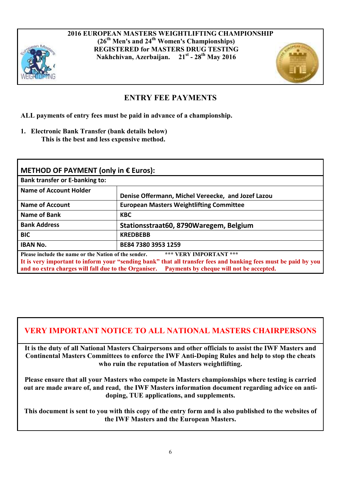

**2016 EUROPEAN MASTERS WEIGHTLIFTING CHAMPIONSHIP (26th Men's and 24th Women's Championships) REGISTERED for MASTERS DRUG TESTING Nakhchivan, Azerbaijan. 21st - 28th May 2016**



## **ENTRY FEE PAYMENTS**

**ALL payments of entry fees must be paid in advance of a championship.** 

**1. Electronic Bank Transfer (bank details below) This is the best and less expensive method.** 

| METHOD OF PAYMENT (only in $E$ Euros):                                                                       |                                                                                                                                                                                      |  |  |  |  |  |  |
|--------------------------------------------------------------------------------------------------------------|--------------------------------------------------------------------------------------------------------------------------------------------------------------------------------------|--|--|--|--|--|--|
| <b>Bank transfer or E-banking to:</b>                                                                        |                                                                                                                                                                                      |  |  |  |  |  |  |
| Name of Account Holder                                                                                       | Denise Offermann, Michel Vereecke, and Jozef Lazou                                                                                                                                   |  |  |  |  |  |  |
| <b>Name of Account</b>                                                                                       | <b>European Masters Weightlifting Committee</b>                                                                                                                                      |  |  |  |  |  |  |
| Name of Bank                                                                                                 | <b>KBC</b>                                                                                                                                                                           |  |  |  |  |  |  |
| <b>Bank Address</b>                                                                                          | Stationsstraat60, 8790Waregem, Belgium                                                                                                                                               |  |  |  |  |  |  |
| <b>BIC</b>                                                                                                   | <b>KREDBEBB</b>                                                                                                                                                                      |  |  |  |  |  |  |
| <b>IBAN No.</b>                                                                                              | BE84 7380 3953 1259                                                                                                                                                                  |  |  |  |  |  |  |
| Please include the name or the Nation of the sender.<br>and no extra charges will fall due to the Organiser. | *** VERY IMPORTANT ***<br>It is very important to inform your "sending bank" that all transfer fees and banking fees must be paid by you<br>Payments by cheque will not be accepted. |  |  |  |  |  |  |

## **VERY IMPORTANT NOTICE TO ALL NATIONAL MASTERS CHAIRPERSONS**

**It is the duty of all National Masters Chairpersons and other officials to assist the IWF Masters and Continental Masters Committees to enforce the IWF Anti-Doping Rules and help to stop the cheats who ruin the reputation of Masters weightlifting.** 

**Please ensure that all your Masters who compete in Masters championships where testing is carried out are made aware of, and read, the IWF Masters information document regarding advice on antidoping, TUE applications, and supplements.** 

**This document is sent to you with this copy of the entry form and is also published to the websites of the IWF Masters and the European Masters.**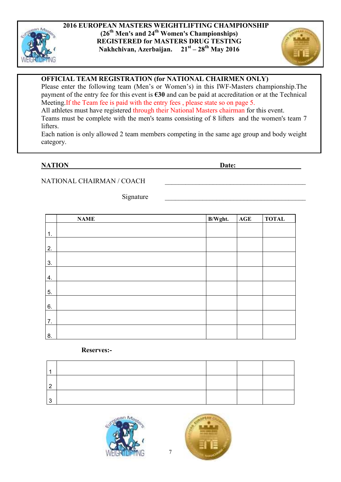



## **OFFICIAL TEAM REGISTRATION (for NATIONAL CHAIRMEN ONLY)**

Please enter the following team (Men's or Women's) in this IWF-Masters championship.The payment of the entry fee for this event is **€30** and can be paid at accreditation or at the Technical Meeting.If the Team fee is paid with the entry fees , please state so on page 5. All athletes must have registered through their National Masters chairman for this event. Teams must be complete with the men's teams consisting of 8 lifters and the women's team 7 lifters.

Each nation is only allowed 2 team members competing in the same age group and body weight category.

#### **NATION** Date:

#### NATIONAL CHAIRMAN / COACH

Signature

|    | <b>NAME</b> | B/Wght. | $\mathbf{AGE}$ | <b>TOTAL</b> |
|----|-------------|---------|----------------|--------------|
| 1. |             |         |                |              |
| 2. |             |         |                |              |
|    |             |         |                |              |
| 3. |             |         |                |              |
| 4. |             |         |                |              |
| 5. |             |         |                |              |
| 6. |             |         |                |              |
| 7. |             |         |                |              |
| 8. |             |         |                |              |

#### **Reserves:-**

| ◠ |  |  |
|---|--|--|
| ◠ |  |  |



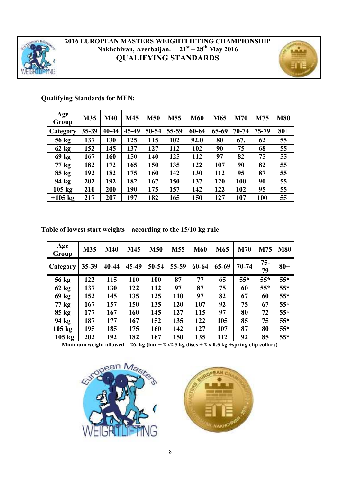

## **2016 EUROPEAN MASTERS WEIGHTLIFTING CHAMPIONSHIP Nakhchivan, Azerbaijan. 21st – 28th May 2016 QUALIFYING STANDARDS**



## **Qualifying Standards for MEN:**

| Age<br>Group     | M35   | <b>M40</b> | M45   | <b>M50</b> | M <sub>55</sub> | <b>M60</b> | M65   | <b>M70</b> | M75       | <b>M80</b> |
|------------------|-------|------------|-------|------------|-----------------|------------|-------|------------|-----------|------------|
| Category         | 35-39 | 40-44      | 45-49 | 50-54      | 55-59           | 60-64      | 65-69 | $70 - 74$  | $75 - 79$ | $80 +$     |
| 56 kg            | 137   | 130        | 125   | 115        | 102             | 92.0       | 80    | 67.        | 62        | 55         |
| $62$ kg          | 152   | 145        | 137   | 127        | 112             | 102        | 90    | 75         | 68        | 55         |
| 69 kg            | 167   | 160        | 150   | 140        | 125             | 112        | 97    | 82         | 75        | 55         |
| 77 kg            | 182   | 172        | 165   | 150        | 135             | 122        | 107   | 90         | 82        | 55         |
| $85 \text{ kg}$  | 192   | 182        | 175   | 160        | 142             | 130        | 112   | 95         | 87        | 55         |
| 94 kg            | 202   | 192        | 182   | 167        | 150             | 137        | 120   | 100        | 90        | 55         |
| $105 \text{ kg}$ | 210   | 200        | 190   | 175        | 157             | 142        | 122   | 102        | 95        | 55         |
| $+105$ kg        | 217   | 207        | 197   | 182        | 165             | 150        | 127   | 107        | 100       | 55         |

## **Table of lowest start weights – according to the 15/10 kg rule**

| Age<br>Group     | <b>M35</b> | <b>M40</b> | M45   | <b>M50</b> | M55   | <b>M60</b> | M65   | <b>M70</b> | M75          | <b>M80</b> |
|------------------|------------|------------|-------|------------|-------|------------|-------|------------|--------------|------------|
| Category         | $35 - 39$  | 40-44      | 45-49 | $50 - 54$  | 55-59 | 60-64      | 65-69 | $70 - 74$  | $75 -$<br>79 | $80 +$     |
| 56 kg            | 122        | 115        | 110   | 100        | 87    | 77         | 65    | $55*$      | $55*$        | $55*$      |
| $62$ kg          | 137        | 130        | 122   | 112        | 97    | 87         | 75    | 60         | $55*$        | $55*$      |
| 69 kg            | 152        | 145        | 135   | 125        | 110   | 97         | 82    | 67         | 60           | $55*$      |
| $77 \text{ kg}$  | 167        | 157        | 150   | 135        | 120   | 107        | 92    | 75         | 67           | $55*$      |
| $85 \text{ kg}$  | 177        | 167        | 160   | 145        | 127   | 115        | 97    | 80         | 72           | $55*$      |
| 94 kg            | 187        | 177        | 167   | 152        | 135   | 122        | 105   | 85         | 75           | $55*$      |
| $105 \text{ kg}$ | 195        | 185        | 175   | 160        | 142   | 127        | 107   | 87         | 80           | $55*$      |
| $+105$ kg        | 202        | 192        | 182   | 167        | 150   | 135        | 112   | 92         | 85           | $55*$      |

Minimum weight allowed = 26. kg (bar + 2 x2.5 kg discs + 2 x 0.5 kg +spring clip collars)